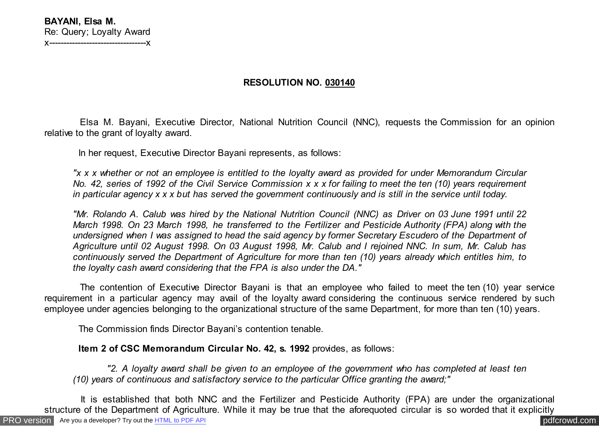## **RESOLUTION NO. 030140**

 Elsa M. Bayani, Executive Director, National Nutrition Council (NNC), requests the Commission for an opinion relative to the grant of loyalty award.

In her request, Executive Director Bayani represents, as follows:

*"x x x whether or not an employee is entitled to the loyalty award as provided for under Memorandum Circular No. 42, series of 1992 of the Civil Service Commission x x x for failing to meet the ten (10) years requirement in particular agency x x x but has served the government continuously and is still in the service until today.*

*"Mr. Rolando A. Calub was hired by the National Nutrition Council (NNC) as Driver on 03 June 1991 until 22 March 1998. On 23 March 1998, he transferred to the Fertilizer and Pesticide Authority (FPA) along with the undersigned when I was assigned to head the said agency by former Secretary Escudero of the Department of Agriculture until 02 August 1998. On 03 August 1998, Mr. Calub and I rejoined NNC. In sum, Mr. Calub has continuously served the Department of Agriculture for more than ten (10) years already which entitles him, to the loyalty cash award considering that the FPA is also under the DA."*

 The contention of Executive Director Bayani is that an employee who failed to meet the ten (10) year service requirement in a particular agency may avail of the loyalty award considering the continuous service rendered by such employee under agencies belonging to the organizational structure of the same Department, for more than ten (10) years.

The Commission finds Director Bayani's contention tenable.

 **Item 2 of CSC Memorandum Circular No. 42, s. 1992** provides, as follows:

 *"2. A loyalty award shall be given to an employee of the government who has completed at least ten (10) years of continuous and satisfactory service to the particular Office granting the award;"*

[PRO version](http://pdfcrowd.com/customize/) Are you a developer? Try out th[e HTML to PDF API](http://pdfcrowd.com/html-to-pdf-api/?ref=pdf) contract the community of the HTML to PDF API [pdfcrowd.com](http://pdfcrowd.com) It is established that both NNC and the Fertilizer and Pesticide Authority (FPA) are under the organizational structure of the Department of Agriculture. While it may be true that the aforequoted circular is so worded that it explicitly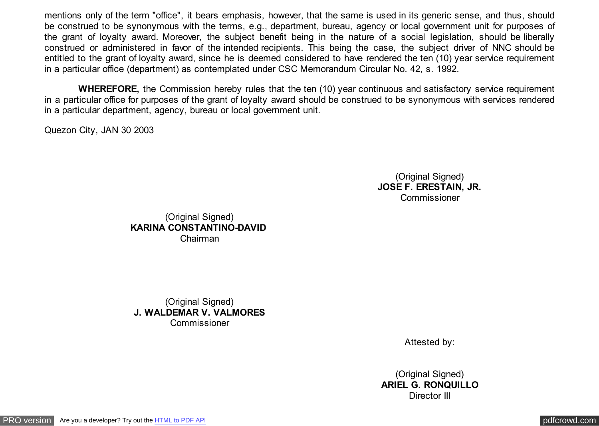mentions only of the term "office", it bears emphasis, however, that the same is used in its generic sense, and thus, should be construed to be synonymous with the terms, e.g., department, bureau, agency or local government unit for purposes of the grant of loyalty award. Moreover, the subject benefit being in the nature of a social legislation, should be liberally construed or administered in favor of the intended recipients. This being the case, the subject driver of NNC should be entitled to the grant of loyalty award, since he is deemed considered to have rendered the ten (10) year service requirement in a particular office (department) as contemplated under CSC Memorandum Circular No. 42, s. 1992.

 **WHEREFORE,** the Commission hereby rules that the ten (10) year continuous and satisfactory service requirement in a particular office for purposes of the grant of loyalty award should be construed to be synonymous with services rendered in a particular department, agency, bureau or local government unit.

Quezon City, JAN 30 2003

(Original Signed) **JOSE F. ERESTAIN, JR. Commissioner** 

(Original Signed) **KARINA CONSTANTINO-DAVID**  Chairman

(Original Signed) **J. WALDEMAR V. VALMORES** Commissioner

Attested by:

(Original Signed) **ARIEL G. RONQUILLO** Director III